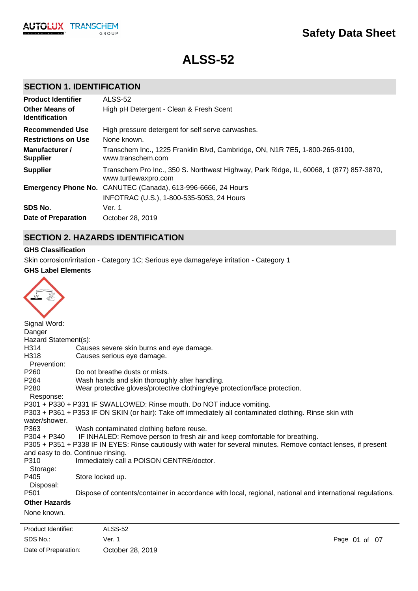

# **ALSS-52**

### **SECTION 1. IDENTIFICATION**

| <b>Product Identifier</b>                      | ALSS-52                                                                                                        |
|------------------------------------------------|----------------------------------------------------------------------------------------------------------------|
| <b>Other Means of</b><br><b>Identification</b> | High pH Detergent - Clean & Fresh Scent                                                                        |
| <b>Recommended Use</b>                         | High pressure detergent for self serve carwashes.                                                              |
| <b>Restrictions on Use</b>                     | None known.                                                                                                    |
| Manufacturer /<br><b>Supplier</b>              | Transchem Inc., 1225 Franklin Blvd, Cambridge, ON, N1R 7E5, 1-800-265-9100,<br>www.transchem.com               |
| <b>Supplier</b>                                | Transchem Pro Inc., 350 S. Northwest Highway, Park Ridge, IL, 60068, 1 (877) 857-3870,<br>www.turtlewaxpro.com |
|                                                | Emergency Phone No. CANUTEC (Canada), 613-996-6666, 24 Hours                                                   |
|                                                | INFOTRAC (U.S.), 1-800-535-5053, 24 Hours                                                                      |
| SDS No.                                        | Ver. 1                                                                                                         |
| Date of Preparation                            | October 28, 2019                                                                                               |

### **SECTION 2. HAZARDS IDENTIFICATION**

### **GHS Classification**

Skin corrosion/irritation - Category 1C; Serious eye damage/eye irritation - Category 1

### **GHS Label Elements**

| Signal Word:         |                                                                                                                   |
|----------------------|-------------------------------------------------------------------------------------------------------------------|
| Danger               |                                                                                                                   |
| Hazard Statement(s): |                                                                                                                   |
| H314                 | Causes severe skin burns and eye damage.                                                                          |
| H318                 | Causes serious eye damage.                                                                                        |
| Prevention:          |                                                                                                                   |
| P <sub>260</sub>     | Do not breathe dusts or mists.                                                                                    |
| P264                 | Wash hands and skin thoroughly after handling.                                                                    |
| P <sub>280</sub>     | Wear protective gloves/protective clothing/eye protection/face protection.                                        |
| Response:            |                                                                                                                   |
|                      | P301 + P330 + P331 IF SWALLOWED: Rinse mouth. Do NOT induce vomiting.                                             |
| water/shower.        | P303 + P361 + P353 IF ON SKIN (or hair): Take off immediately all contaminated clothing. Rinse skin with          |
| P363                 | Wash contaminated clothing before reuse.                                                                          |
|                      | P304 + P340 IF INHALED: Remove person to fresh air and keep comfortable for breathing.                            |
|                      | P305 + P351 + P338 IF IN EYES: Rinse cautiously with water for several minutes. Remove contact lenses, if present |
|                      | and easy to do. Continue rinsing.                                                                                 |
| P310                 | Immediately call a POISON CENTRE/doctor.                                                                          |
| Storage:             |                                                                                                                   |
| P405                 | Store locked up.                                                                                                  |
| Disposal:            |                                                                                                                   |
| P <sub>501</sub>     | Dispose of contents/container in accordance with local, regional, national and international regulations.         |
| <b>Other Hazards</b> |                                                                                                                   |
| None known.          |                                                                                                                   |
|                      |                                                                                                                   |

SDS No.: Date of Preparation: Ver. 1 Page 01 of 07 October 28, 2019 Product Identifier: ALSS-52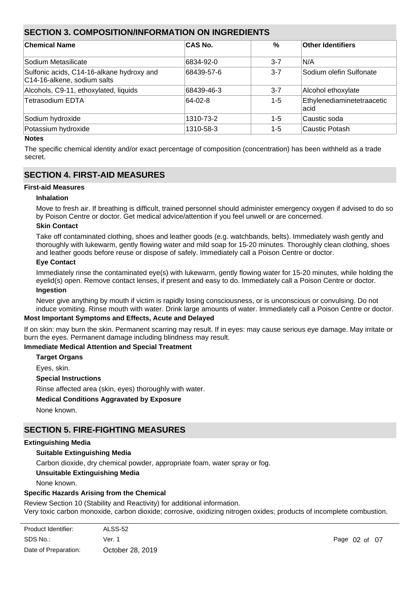### **SECTION 3. COMPOSITION/INFORMATION ON INGREDIENTS**

| <b>Chemical Name</b>                                                     | <b>CAS No.</b> | %       | <b>Other Identifiers</b>            |
|--------------------------------------------------------------------------|----------------|---------|-------------------------------------|
| Sodium Metasilicate                                                      | 6834-92-0      | $3 - 7$ | IN/A                                |
| Sulfonic acids, C14-16-alkane hydroxy and<br>C14-16-alkene, sodium salts | 68439-57-6     | $3 - 7$ | Sodium olefin Sulfonate             |
| Alcohols, C9-11, ethoxylated, liquids                                    | 68439-46-3     | $3 - 7$ | Alcohol ethoxylate                  |
| Tetrasodium EDTA                                                         | 64-02-8        | $1 - 5$ | Ethylenediaminetetraacetic<br>lacid |
| Sodium hydroxide                                                         | 1310-73-2      | $1 - 5$ | Caustic soda                        |
| Potassium hydroxide                                                      | 1310-58-3      | $1 - 5$ | Caustic Potash                      |

#### **Notes**

The specific chemical identity and/or exact percentage of composition (concentration) has been withheld as a trade secret.

### **SECTION 4. FIRST-AID MEASURES**

### **First-aid Measures**

### **Inhalation**

Move to fresh air. If breathing is difficult, trained personnel should administer emergency oxygen if advised to do so by Poison Centre or doctor. Get medical advice/attention if you feel unwell or are concerned.

### **Skin Contact**

Take off contaminated clothing, shoes and leather goods (e.g. watchbands, belts). Immediately wash gently and thoroughly with lukewarm, gently flowing water and mild soap for 15-20 minutes. Thoroughly clean clothing, shoes and leather goods before reuse or dispose of safely. Immediately call a Poison Centre or doctor.

### **Eye Contact**

Immediately rinse the contaminated eye(s) with lukewarm, gently flowing water for 15-20 minutes, while holding the eyelid(s) open. Remove contact lenses, if present and easy to do. Immediately call a Poison Centre or doctor. **Ingestion**

Never give anything by mouth if victim is rapidly losing consciousness, or is unconscious or convulsing. Do not induce vomiting. Rinse mouth with water. Drink large amounts of water. Immediately call a Poison Centre or doctor.

### **Most Important Symptoms and Effects, Acute and Delayed**

If on skin: may burn the skin. Permanent scarring may result. If in eyes: may cause serious eye damage. May irritate or burn the eyes. Permanent damage including blindness may result.

### **Immediate Medical Attention and Special Treatment**

**Target Organs**

Eyes, skin.

#### **Special Instructions**

Rinse affected area (skin, eyes) thoroughly with water.

**Special Protective Equipment and Precautions for Fire-fighters**

### **Medical Conditions Aggravated by Exposure**

None known.

### **SECTION 5. FIRE-FIGHTING MEASURES**

### **Extinguishing Media**

### **Suitable Extinguishing Media**

Carbon dioxide, dry chemical powder, appropriate foam, water spray or fog.

### **Unsuitable Extinguishing Media**

None known.

### **Specific Hazards Arising from the Chemical**

Review Section 10 (Stability and Reactivity) for additional information. Very toxic carbon monoxide, carbon dioxide; corrosive, oxidizing nitrogen oxides; products of incomplete combustion.

| Product Identifier:  | ALSS-52          |
|----------------------|------------------|
| SDS No.:             | Ver. 1           |
| Date of Preparation: | October 28, 2019 |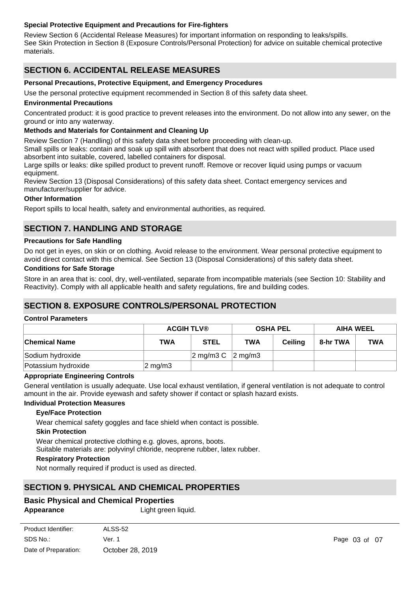### **Special Protective Equipment and Precautions for Fire-fighters**

Review Section 6 (Accidental Release Measures) for important information on responding to leaks/spills. See Skin Protection in Section 8 (Exposure Controls/Personal Protection) for advice on suitable chemical protective materials.

### **SECTION 6. ACCIDENTAL RELEASE MEASURES**

### **Personal Precautions, Protective Equipment, and Emergency Procedures**

Use the personal protective equipment recommended in Section 8 of this safety data sheet.

#### **Environmental Precautions**

Concentrated product: it is good practice to prevent releases into the environment. Do not allow into any sewer, on the ground or into any waterway.

### **Methods and Materials for Containment and Cleaning Up**

Review Section 7 (Handling) of this safety data sheet before proceeding with clean-up.

Small spills or leaks: contain and soak up spill with absorbent that does not react with spilled product. Place used absorbent into suitable, covered, labelled containers for disposal.

Large spills or leaks: dike spilled product to prevent runoff. Remove or recover liquid using pumps or vacuum equipment.

Review Section 13 (Disposal Considerations) of this safety data sheet. Contact emergency services and manufacturer/supplier for advice.

#### **Other Information**

Report spills to local health, safety and environmental authorities, as required.

### **SECTION 7. HANDLING AND STORAGE**

#### **Precautions for Safe Handling**

Do not get in eyes, on skin or on clothing. Avoid release to the environment. Wear personal protective equipment to avoid direct contact with this chemical. See Section 13 (Disposal Considerations) of this safety data sheet.

#### **Conditions for Safe Storage**

Store in an area that is: cool, dry, well-ventilated, separate from incompatible materials (see Section 10: Stability and Reactivity). Comply with all applicable health and safety regulations, fire and building codes.

### **SECTION 8. EXPOSURE CONTROLS/PERSONAL PROTECTION**

#### **Control Parameters**

|                      | <b>ACGIH TLV®</b>  |                                                 | <b>OSHA PEL</b> |                | <b>AIHA WEEL</b> |            |
|----------------------|--------------------|-------------------------------------------------|-----------------|----------------|------------------|------------|
| <b>Chemical Name</b> | <b>TWA</b>         | <b>STEL</b>                                     | <b>TWA</b>      | <b>Ceiling</b> | 8-hr TWA         | <b>TWA</b> |
| Sodium hydroxide     |                    | $ 2 \text{ mg/m}3 \text{ C}$ $ 2 \text{ mg/m}3$ |                 |                |                  |            |
| Potassium hydroxide  | $2 \text{ mg/m}$ 3 |                                                 |                 |                |                  |            |

#### **Appropriate Engineering Controls**

General ventilation is usually adequate. Use local exhaust ventilation, if general ventilation is not adequate to control amount in the air. Provide eyewash and safety shower if contact or splash hazard exists.

#### **Individual Protection Measures**

#### **Eye/Face Protection**

Wear chemical safety goggles and face shield when contact is possible.

#### **Skin Protection**

Wear chemical protective clothing e.g. gloves, aprons, boots.

Suitable materials are: polyvinyl chloride, neoprene rubber, latex rubber.

#### **Respiratory Protection**

Not normally required if product is used as directed.

### **SECTION 9. PHYSICAL AND CHEMICAL PROPERTIES**

### **Basic Physical and Chemical Properties**

**Odour** Fresh scent

Appearance Light green liquid.

| Product Identifier:  | ALSS-52          |
|----------------------|------------------|
| SDS No.:             | Ver. 1           |
| Date of Preparation: | October 28, 2019 |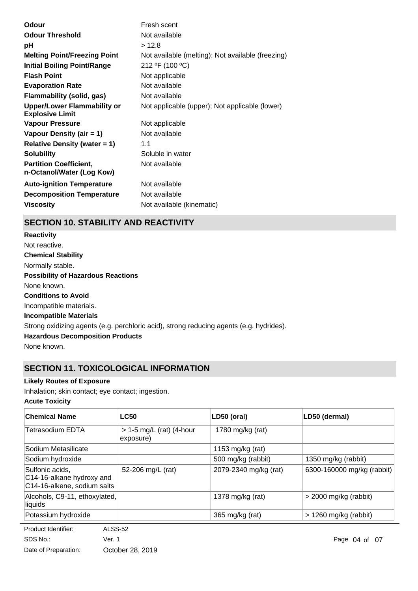| <b>Odour Threshold</b><br>Not available<br>>12.8<br>рH<br>Not available (melting); Not available (freezing)<br><b>Melting Point/Freezing Point</b><br>212 °F (100 °C)<br><b>Initial Boiling Point/Range</b><br><b>Flash Point</b><br>Not applicable<br><b>Evaporation Rate</b><br>Not available<br><b>Flammability (solid, gas)</b><br>Not available<br><b>Upper/Lower Flammability or</b><br>Not applicable (upper); Not applicable (lower)<br><b>Explosive Limit</b><br><b>Vapour Pressure</b><br>Not applicable<br>Vapour Density (air = 1)<br>Not available<br><b>Relative Density (water = 1)</b><br>1.1<br>Soluble in water<br><b>Solubility</b><br><b>Partition Coefficient,</b><br>Not available<br>n-Octanol/Water (Log Kow)<br><b>Auto-ignition Temperature</b><br>Not available<br><b>Decomposition Temperature</b><br>Not available<br><b>Viscosity</b><br>Not available (kinematic) | Odour | Fresh scent |
|--------------------------------------------------------------------------------------------------------------------------------------------------------------------------------------------------------------------------------------------------------------------------------------------------------------------------------------------------------------------------------------------------------------------------------------------------------------------------------------------------------------------------------------------------------------------------------------------------------------------------------------------------------------------------------------------------------------------------------------------------------------------------------------------------------------------------------------------------------------------------------------------------|-------|-------------|
|                                                                                                                                                                                                                                                                                                                                                                                                                                                                                                                                                                                                                                                                                                                                                                                                                                                                                                  |       |             |
|                                                                                                                                                                                                                                                                                                                                                                                                                                                                                                                                                                                                                                                                                                                                                                                                                                                                                                  |       |             |
|                                                                                                                                                                                                                                                                                                                                                                                                                                                                                                                                                                                                                                                                                                                                                                                                                                                                                                  |       |             |
|                                                                                                                                                                                                                                                                                                                                                                                                                                                                                                                                                                                                                                                                                                                                                                                                                                                                                                  |       |             |
|                                                                                                                                                                                                                                                                                                                                                                                                                                                                                                                                                                                                                                                                                                                                                                                                                                                                                                  |       |             |
|                                                                                                                                                                                                                                                                                                                                                                                                                                                                                                                                                                                                                                                                                                                                                                                                                                                                                                  |       |             |
|                                                                                                                                                                                                                                                                                                                                                                                                                                                                                                                                                                                                                                                                                                                                                                                                                                                                                                  |       |             |
|                                                                                                                                                                                                                                                                                                                                                                                                                                                                                                                                                                                                                                                                                                                                                                                                                                                                                                  |       |             |
|                                                                                                                                                                                                                                                                                                                                                                                                                                                                                                                                                                                                                                                                                                                                                                                                                                                                                                  |       |             |
|                                                                                                                                                                                                                                                                                                                                                                                                                                                                                                                                                                                                                                                                                                                                                                                                                                                                                                  |       |             |
|                                                                                                                                                                                                                                                                                                                                                                                                                                                                                                                                                                                                                                                                                                                                                                                                                                                                                                  |       |             |
|                                                                                                                                                                                                                                                                                                                                                                                                                                                                                                                                                                                                                                                                                                                                                                                                                                                                                                  |       |             |
|                                                                                                                                                                                                                                                                                                                                                                                                                                                                                                                                                                                                                                                                                                                                                                                                                                                                                                  |       |             |
|                                                                                                                                                                                                                                                                                                                                                                                                                                                                                                                                                                                                                                                                                                                                                                                                                                                                                                  |       |             |
|                                                                                                                                                                                                                                                                                                                                                                                                                                                                                                                                                                                                                                                                                                                                                                                                                                                                                                  |       |             |
|                                                                                                                                                                                                                                                                                                                                                                                                                                                                                                                                                                                                                                                                                                                                                                                                                                                                                                  |       |             |

## **SECTION 10. STABILITY AND REACTIVITY**

**Chemical Stability** Normally stable. **Conditions to Avoid** Incompatible materials. **Incompatible Materials** Strong oxidizing agents (e.g. perchloric acid), strong reducing agents (e.g. hydrides). **Hazardous Decomposition Products** None known. **Possibility of Hazardous Reactions** None known. **Reactivity** Not reactive.

## **SECTION 11. TOXICOLOGICAL INFORMATION**

### **Likely Routes of Exposure**

Inhalation; skin contact; eye contact; ingestion.

### **Acute Toxicity**

| <b>Chemical Name</b>                                                        | <b>LC50</b>                             | LD50 (oral)           | LD50 (dermal)              |
|-----------------------------------------------------------------------------|-----------------------------------------|-----------------------|----------------------------|
| Tetrasodium EDTA                                                            | $> 1-5$ mg/L (rat) (4-hour<br>exposure) | 1780 mg/kg (rat)      |                            |
| Sodium Metasilicate                                                         |                                         | 1153 mg/kg (rat)      |                            |
| Sodium hydroxide                                                            |                                         | 500 mg/kg (rabbit)    | 1350 mg/kg (rabbit)        |
| Sulfonic acids,<br>C14-16-alkane hydroxy and<br>C14-16-alkene, sodium salts | 52-206 mg/L (rat)                       | 2079-2340 mg/kg (rat) | 6300-160000 mg/kg (rabbit) |
| Alcohols, C9-11, ethoxylated,<br>liquids                                    |                                         | 1378 mg/kg (rat)      | $>$ 2000 mg/kg (rabbit)    |
| Potassium hydroxide                                                         |                                         | 365 mg/kg (rat)       | $> 1260$ mg/kg (rabbit)    |

**Product Identifier:** ALSS-52 SDS No.: Date of Preparation: Ver. 1 Page 04 of 07 October 28, 2019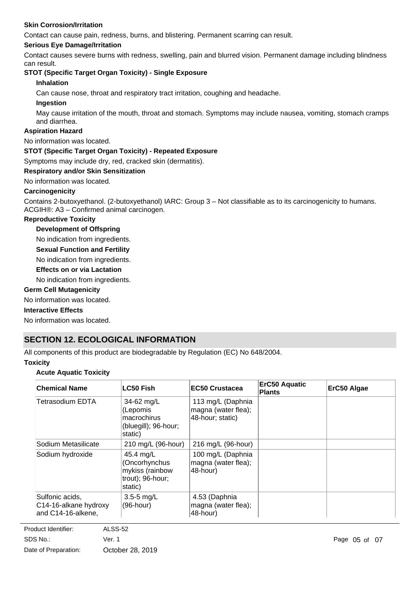### **Skin Corrosion/Irritation**

Contact can cause pain, redness, burns, and blistering. Permanent scarring can result.

### **Serious Eye Damage/Irritation**

Contact causes severe burns with redness, swelling, pain and blurred vision. Permanent damage including blindness can result.

### **STOT (Specific Target Organ Toxicity) - Single Exposure**

#### **Inhalation**

Can cause nose, throat and respiratory tract irritation, coughing and headache.

#### **Ingestion**

May cause irritation of the mouth, throat and stomach. Symptoms may include nausea, vomiting, stomach cramps and diarrhea.

### **Aspiration Hazard**

No information was located.

### **STOT (Specific Target Organ Toxicity) - Repeated Exposure**

Symptoms may include dry, red, cracked skin (dermatitis).

### **Respiratory and/or Skin Sensitization**

#### No information was located.

### **Carcinogenicity**

Contains 2-butoxyethanol. (2-butoxyethanol) IARC: Group 3 – Not classifiable as to its carcinogenicity to humans. ACGIH®: A3 – Confirmed animal carcinogen.

### **Reproductive Toxicity**

**Development of Offspring**

No indication from ingredients.

**Sexual Function and Fertility**

No indication from ingredients.

**Effects on or via Lactation**

No indication from ingredients.

### **Germ Cell Mutagenicity**

No information was located.

#### **Interactive Effects**

No information was located.

### **SECTION 12. ECOLOGICAL INFORMATION**

All components of this product are biodegradable by Regulation (EC) No 648/2004.

#### **Toxicity**

### **Acute Aquatic Toxicity**

| <b>Chemical Name</b>                                           | <b>LC50 Fish</b>                                                             | <b>EC50 Crustacea</b>                                        | <b>ErC50 Aquatic</b><br><b>Plants</b> | ErC50 Algae |
|----------------------------------------------------------------|------------------------------------------------------------------------------|--------------------------------------------------------------|---------------------------------------|-------------|
| Tetrasodium EDTA                                               | 34-62 mg/L<br>(Lepomis<br>macrochirus<br>(bluegill); 96-hour;<br>static)     | 113 mg/L (Daphnia<br>magna (water flea);<br>48-hour; static) |                                       |             |
| Sodium Metasilicate                                            | 210 mg/L (96-hour)                                                           | 216 mg/L (96-hour)                                           |                                       |             |
| Sodium hydroxide                                               | 45.4 mg/L<br>(Oncorhynchus<br>mykiss (rainbow<br>trout); 96-hour;<br>static) | 100 mg/L (Daphnia<br>magna (water flea);<br>48-hour)         |                                       |             |
| Sulfonic acids,<br>C14-16-alkane hydroxy<br>and C14-16-alkene, | $3.5 - 5$ mg/L<br>$(96$ -hour)                                               | 4.53 (Daphnia<br>magna (water flea);<br>48-hour)             |                                       |             |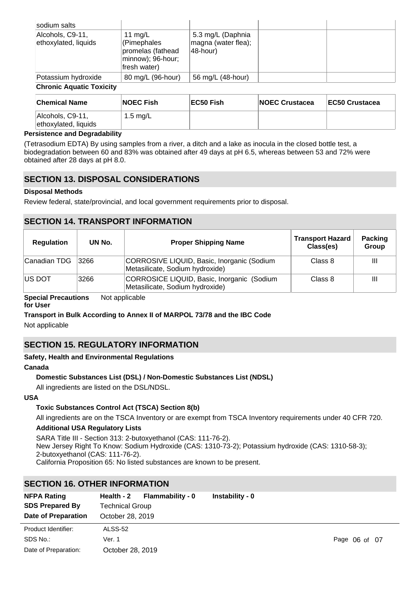| sodium salts                             |                                                                                  |                                                      |  |
|------------------------------------------|----------------------------------------------------------------------------------|------------------------------------------------------|--|
| Alcohols, C9-11,<br>ethoxylated, liquids | 11 mg/L<br>(Pimephales<br>promelas (fathead<br>minnow); 96-hour;<br>fresh water) | 5.3 mg/L (Daphnia<br>magna (water flea);<br>48-hour) |  |
| Potassium hydroxide                      | 80 mg/L (96-hour)                                                                | 56 mg/L (48-hour)                                    |  |

### **Chronic Aquatic Toxicity**

| <b>Chemical Name</b>                     | <b>NOEC Fish</b> | EC50 Fish | <b>INOEC Crustacea</b> | <b>IEC50 Crustacea</b> |
|------------------------------------------|------------------|-----------|------------------------|------------------------|
| Alcohols, C9-11,<br>ethoxylated, liquids | 1.5 mg/L         |           |                        |                        |

### **Persistence and Degradability**

(Tetrasodium EDTA) By using samples from a river, a ditch and a lake as inocula in the closed bottle test, a biodegradation between 60 and 83% was obtained after 49 days at pH 6.5, whereas between 53 and 72% were obtained after 28 days at pH 8.0.

### **SECTION 13. DISPOSAL CONSIDERATIONS**

### **Disposal Methods**

Review federal, state/provincial, and local government requirements prior to disposal.

### **SECTION 14. TRANSPORT INFORMATION**

| <b>Regulation</b> | UN No. | <b>Proper Shipping Name</b>                                                   | <b>Transport Hazard</b><br>Class(es) | <b>Packing</b><br>Group |
|-------------------|--------|-------------------------------------------------------------------------------|--------------------------------------|-------------------------|
| ∣Canadian TDG     | 3266   | CORROSIVE LIQUID, Basic, Inorganic (Sodium<br>Metasilicate, Sodium hydroxide) | Class 8                              | Ш                       |
| <b>IUS DOT</b>    | 3266   | CORROSICE LIQUID, Basic, Inorganic (Sodium<br>Metasilicate, Sodium hydroxide) | Class 8                              | Ш                       |

**Special Precautions** Not applicable

### **for User**

### **Transport in Bulk According to Annex II of MARPOL 73/78 and the IBC Code**

Not applicable

### **SECTION 15. REGULATORY INFORMATION**

### **Safety, Health and Environmental Regulations**

#### **Canada**

### **Domestic Substances List (DSL) / Non-Domestic Substances List (NDSL)**

All ingredients are listed on the DSL/NDSL.

### **USA**

### **Toxic Substances Control Act (TSCA) Section 8(b)**

All ingredients are on the TSCA Inventory or are exempt from TSCA Inventory requirements under 40 CFR 720.

### **Additional USA Regulatory Lists**

SARA Title III - Section 313: 2-butoxyethanol (CAS: 111-76-2). New Jersey Right To Know: Sodium Hydroxide (CAS: 1310-73-2); Potassium hydroxide (CAS: 1310-58-3); 2-butoxyethanol (CAS: 111-76-2). California Proposition 65: No listed substances are known to be present.

### **SECTION 16. OTHER INFORMATION**

| <b>NFPA Rating</b><br><b>SDS Prepared By</b><br>Date of Preparation | Flammability - 0<br>Health - 2<br><b>Technical Group</b><br>October 28, 2019 | Instability - 0 |               |
|---------------------------------------------------------------------|------------------------------------------------------------------------------|-----------------|---------------|
| Product Identifier:                                                 | ALSS-52                                                                      |                 |               |
| SDS No.:                                                            | Ver. 1                                                                       |                 | Page 06 of 07 |
| Date of Preparation:                                                | October 28, 2019                                                             |                 |               |